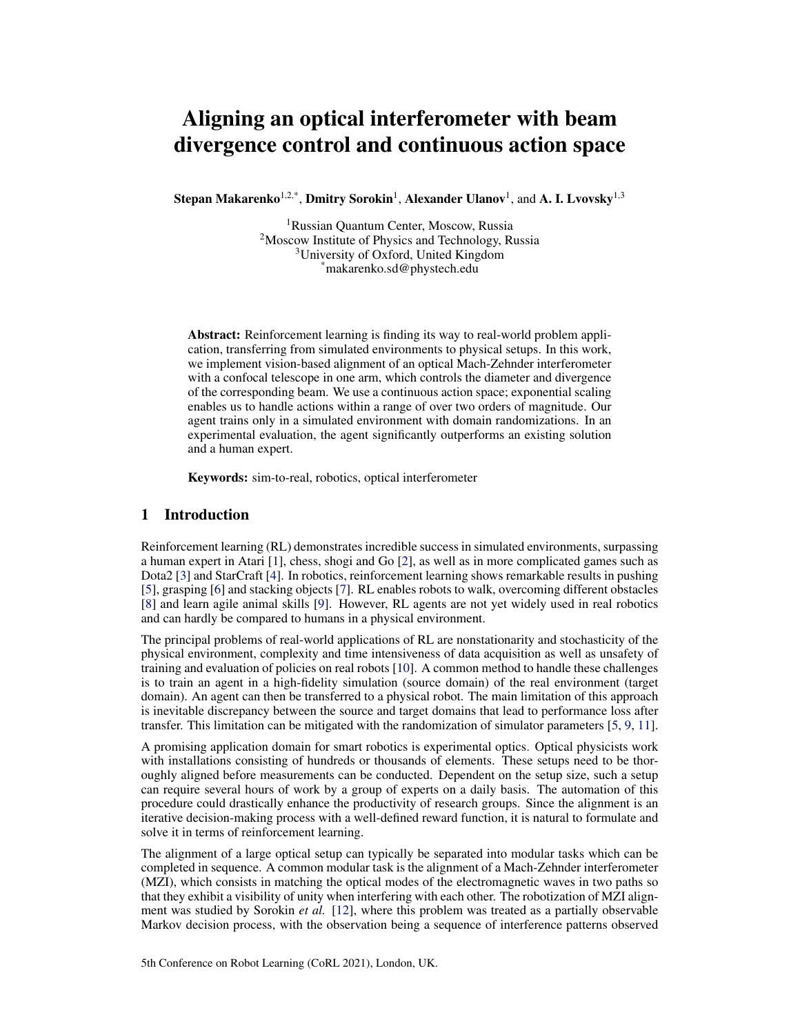# Aligning an optical interferometer with beam divergence control and continuous action space

Stepan Makarenko $^{1,2,*}$ , Dmitry Sorokin $^1$ , Alexander Ulanov $^1$ , and A. I. Lvovsky $^{1,3}$ 

<sup>1</sup>Russian Quantum Center, Moscow, Russia <sup>2</sup>Moscow Institute of Physics and Technology, Russia <sup>3</sup>University of Oxford, United Kingdom \*makarenko.sd@phystech.edu

Abstract: Reinforcement learning is finding its way to real-world problem application, transferring from simulated environments to physical setups. In this work, we implement vision-based alignment of an optical Mach-Zehnder interferometer with a confocal telescope in one arm, which controls the diameter and divergence of the corresponding beam. We use a continuous action space; exponential scaling enables us to handle actions within a range of over two orders of magnitude. Our agent trains only in a simulated environment with domain randomizations. In an experimental evaluation, the agent significantly outperforms an existing solution and a human expert.

Keywords: sim-to-real, robotics, optical interferometer

## 1 Introduction

Reinforcement learning (RL) demonstrates incredible success in simulated environments, surpassing a human expert in Atari [\[1\]](#page-8-0), chess, shogi and Go [\[2\]](#page-8-0), as well as in more complicated games such as Dota2 [\[3\]](#page-8-0) and StarCraft [\[4\]](#page-8-0). In robotics, reinforcement learning shows remarkable results in pushing [\[5\]](#page-8-0), grasping [\[6\]](#page-8-0) and stacking objects [\[7\]](#page-8-0). RL enables robots to walk, overcoming different obstacles [\[8\]](#page-8-0) and learn agile animal skills [\[9\]](#page-8-0). However, RL agents are not yet widely used in real robotics and can hardly be compared to humans in a physical environment.

The principal problems of real-world applications of RL are nonstationarity and stochasticity of the physical environment, complexity and time intensiveness of data acquisition as well as unsafety of training and evaluation of policies on real robots [\[10\]](#page-8-0). A common method to handle these challenges is to train an agent in a high-fidelity simulation (source domain) of the real environment (target domain). An agent can then be transferred to a physical robot. The main limitation of this approach is inevitable discrepancy between the source and target domains that lead to performance loss after transfer. This limitation can be mitigated with the randomization of simulator parameters [\[5,](#page-8-0) [9,](#page-8-0) [11\]](#page-8-0).

A promising application domain for smart robotics is experimental optics. Optical physicists work with installations consisting of hundreds or thousands of elements. These setups need to be thoroughly aligned before measurements can be conducted. Dependent on the setup size, such a setup can require several hours of work by a group of experts on a daily basis. The automation of this procedure could drastically enhance the productivity of research groups. Since the alignment is an iterative decision-making process with a well-defined reward function, it is natural to formulate and solve it in terms of reinforcement learning.

The alignment of a large optical setup can typically be separated into modular tasks which can be completed in sequence. A common modular task is the alignment of a Mach-Zehnder interferometer (MZI), which consists in matching the optical modes of the electromagnetic waves in two paths so that they exhibit a visibility of unity when interfering with each other. The robotization of MZI alignment was studied by Sorokin *et al.* [\[12\]](#page-8-0), where this problem was treated as a partially observable Markov decision process, with the observation being a sequence of interference patterns observed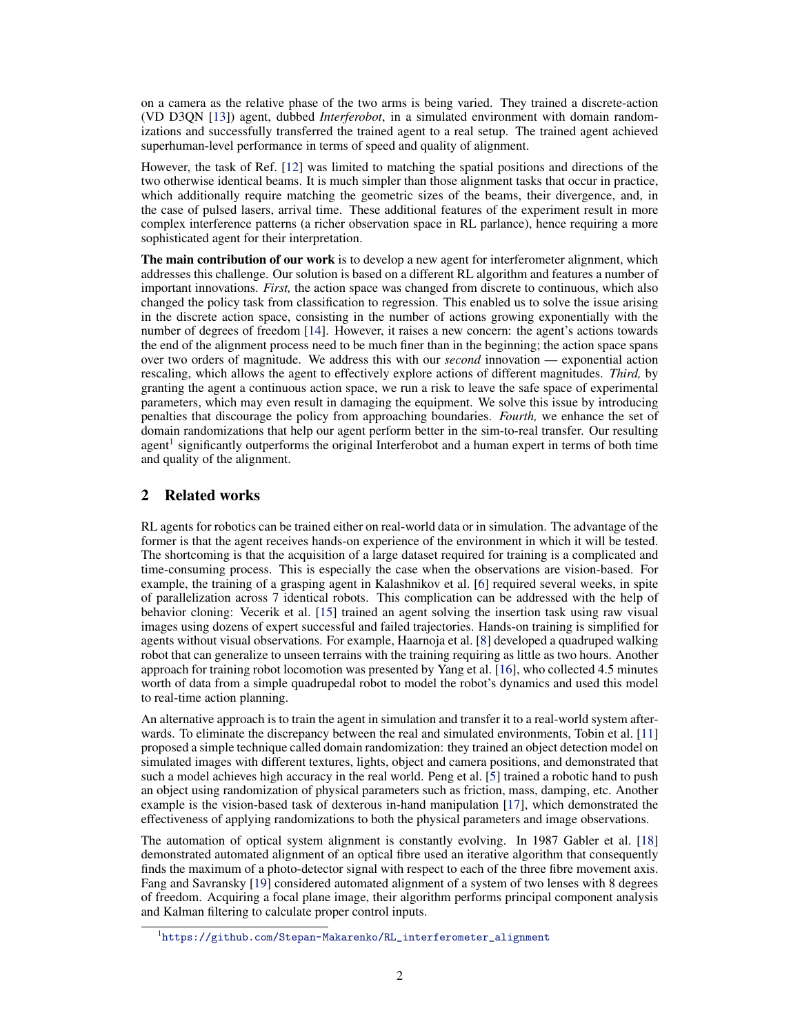on a camera as the relative phase of the two arms is being varied. They trained a discrete-action (VD D3QN [\[13\]](#page-8-0)) agent, dubbed *Interferobot*, in a simulated environment with domain randomizations and successfully transferred the trained agent to a real setup. The trained agent achieved superhuman-level performance in terms of speed and quality of alignment.

However, the task of Ref. [\[12\]](#page-8-0) was limited to matching the spatial positions and directions of the two otherwise identical beams. It is much simpler than those alignment tasks that occur in practice, which additionally require matching the geometric sizes of the beams, their divergence, and, in the case of pulsed lasers, arrival time. These additional features of the experiment result in more complex interference patterns (a richer observation space in RL parlance), hence requiring a more sophisticated agent for their interpretation.

The main contribution of our work is to develop a new agent for interferometer alignment, which addresses this challenge. Our solution is based on a different RL algorithm and features a number of important innovations. *First,* the action space was changed from discrete to continuous, which also changed the policy task from classification to regression. This enabled us to solve the issue arising in the discrete action space, consisting in the number of actions growing exponentially with the number of degrees of freedom [\[14\]](#page-8-0). However, it raises a new concern: the agent's actions towards the end of the alignment process need to be much finer than in the beginning; the action space spans over two orders of magnitude. We address this with our *second* innovation — exponential action rescaling, which allows the agent to effectively explore actions of different magnitudes. *Third,* by granting the agent a continuous action space, we run a risk to leave the safe space of experimental parameters, which may even result in damaging the equipment. We solve this issue by introducing penalties that discourage the policy from approaching boundaries. *Fourth,* we enhance the set of domain randomizations that help our agent perform better in the sim-to-real transfer. Our resulting agent<sup>1</sup> significantly outperforms the original Interferobot and a human expert in terms of both time and quality of the alignment.

# 2 Related works

RL agents for robotics can be trained either on real-world data or in simulation. The advantage of the former is that the agent receives hands-on experience of the environment in which it will be tested. The shortcoming is that the acquisition of a large dataset required for training is a complicated and time-consuming process. This is especially the case when the observations are vision-based. For example, the training of a grasping agent in Kalashnikov et al. [\[6\]](#page-8-0) required several weeks, in spite of parallelization across 7 identical robots. This complication can be addressed with the help of behavior cloning: Vecerik et al. [\[15\]](#page-8-0) trained an agent solving the insertion task using raw visual images using dozens of expert successful and failed trajectories. Hands-on training is simplified for agents without visual observations. For example, Haarnoja et al. [\[8\]](#page-8-0) developed a quadruped walking robot that can generalize to unseen terrains with the training requiring as little as two hours. Another approach for training robot locomotion was presented by Yang et al. [\[16\]](#page-9-0), who collected 4.5 minutes worth of data from a simple quadrupedal robot to model the robot's dynamics and used this model to real-time action planning.

An alternative approach is to train the agent in simulation and transfer it to a real-world system afterwards. To eliminate the discrepancy between the real and simulated environments, Tobin et al. [\[11\]](#page-8-0) proposed a simple technique called domain randomization: they trained an object detection model on simulated images with different textures, lights, object and camera positions, and demonstrated that such a model achieves high accuracy in the real world. Peng et al. [\[5\]](#page-8-0) trained a robotic hand to push an object using randomization of physical parameters such as friction, mass, damping, etc. Another example is the vision-based task of dexterous in-hand manipulation [\[17\]](#page-9-0), which demonstrated the effectiveness of applying randomizations to both the physical parameters and image observations.

The automation of optical system alignment is constantly evolving. In 1987 Gabler et al. [\[18\]](#page-9-0) demonstrated automated alignment of an optical fibre used an iterative algorithm that consequently finds the maximum of a photo-detector signal with respect to each of the three fibre movement axis. Fang and Savransky [\[19\]](#page-9-0) considered automated alignment of a system of two lenses with 8 degrees of freedom. Acquiring a focal plane image, their algorithm performs principal component analysis and Kalman filtering to calculate proper control inputs.

<sup>1</sup> [https://github.com/Stepan-Makarenko/RL\\_interferometer\\_alignment](https://github.com/Stepan-Makarenko/RL_interferometer_alignment)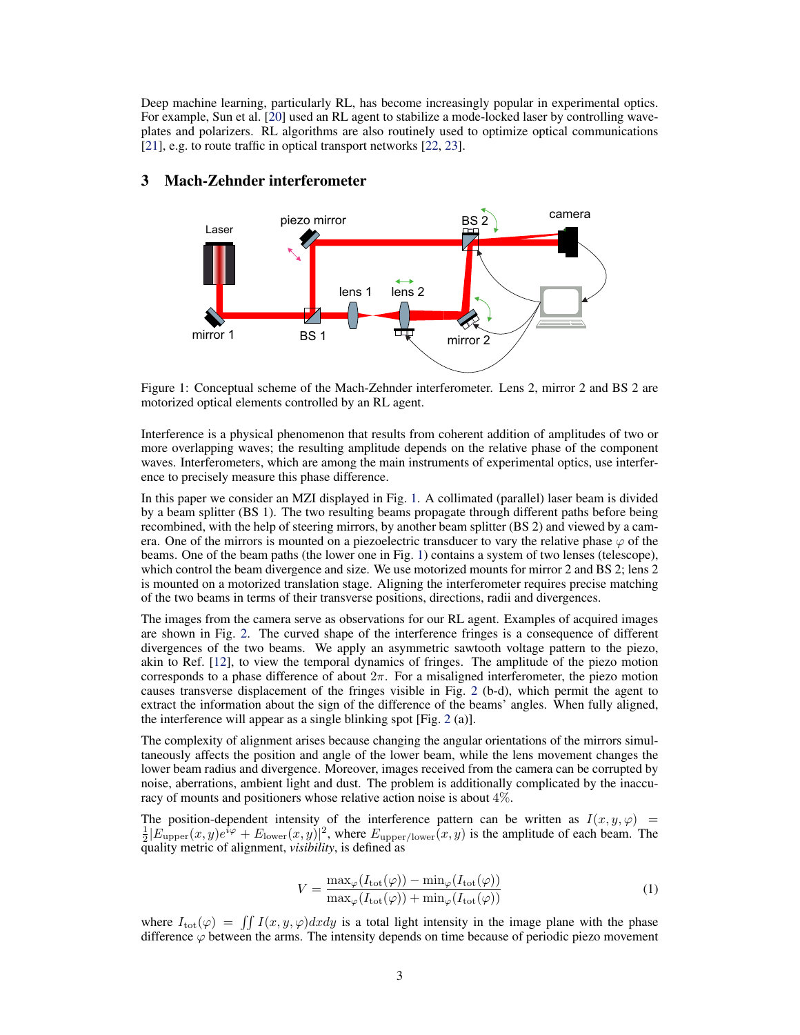<span id="page-2-0"></span>Deep machine learning, particularly RL, has become increasingly popular in experimental optics. For example, Sun et al. [\[20\]](#page-9-0) used an RL agent to stabilize a mode-locked laser by controlling waveplates and polarizers. RL algorithms are also routinely used to optimize optical communications [\[21\]](#page-9-0), e.g. to route traffic in optical transport networks [\[22,](#page-9-0) [23\]](#page-9-0).



## 3 Mach-Zehnder interferometer

Figure 1: Conceptual scheme of the Mach-Zehnder interferometer. Lens 2, mirror 2 and BS 2 are motorized optical elements controlled by an RL agent.

Interference is a physical phenomenon that results from coherent addition of amplitudes of two or more overlapping waves; the resulting amplitude depends on the relative phase of the component waves. Interferometers, which are among the main instruments of experimental optics, use interference to precisely measure this phase difference.

In this paper we consider an MZI displayed in Fig. 1. A collimated (parallel) laser beam is divided by a beam splitter (BS 1). The two resulting beams propagate through different paths before being recombined, with the help of steering mirrors, by another beam splitter (BS 2) and viewed by a camera. One of the mirrors is mounted on a piezoelectric transducer to vary the relative phase  $\varphi$  of the beams. One of the beam paths (the lower one in Fig. 1) contains a system of two lenses (telescope), which control the beam divergence and size. We use motorized mounts for mirror 2 and BS 2; lens 2 is mounted on a motorized translation stage. Aligning the interferometer requires precise matching of the two beams in terms of their transverse positions, directions, radii and divergences.

The images from the camera serve as observations for our RL agent. Examples of acquired images are shown in Fig. [2.](#page-3-0) The curved shape of the interference fringes is a consequence of different divergences of the two beams. We apply an asymmetric sawtooth voltage pattern to the piezo, akin to Ref. [\[12\]](#page-8-0), to view the temporal dynamics of fringes. The amplitude of the piezo motion corresponds to a phase difference of about  $2\pi$ . For a misaligned interferometer, the piezo motion causes transverse displacement of the fringes visible in Fig. [2](#page-3-0) (b-d), which permit the agent to extract the information about the sign of the difference of the beams' angles. When fully aligned, the interference will appear as a single blinking spot [Fig. [2](#page-3-0) (a)].

The complexity of alignment arises because changing the angular orientations of the mirrors simultaneously affects the position and angle of the lower beam, while the lens movement changes the lower beam radius and divergence. Moreover, images received from the camera can be corrupted by noise, aberrations, ambient light and dust. The problem is additionally complicated by the inaccuracy of mounts and positioners whose relative action noise is about 4%.

The position-dependent intensity of the interference pattern can be written as  $I(x, y, \varphi)$  =  $\frac{1}{2} |E_{\text{upper}}(x, y)e^{i\varphi} + E_{\text{lower}}(x, y)|^2$ , where  $E_{\text{upper/lower}}(x, y)$  is the amplitude of each beam. The quality metric of alignment, *visibility*, is defined as

$$
V = \frac{\max_{\varphi} (I_{\text{tot}}(\varphi)) - \min_{\varphi} (I_{\text{tot}}(\varphi))}{\max_{\varphi} (I_{\text{tot}}(\varphi)) + \min_{\varphi} (I_{\text{tot}}(\varphi))}
$$
(1)

where  $I_{\text{tot}}(\varphi) = \int \int I(x, y, \varphi) dxdy$  is a total light intensity in the image plane with the phase difference  $\varphi$  between the arms. The intensity depends on time because of periodic piezo movement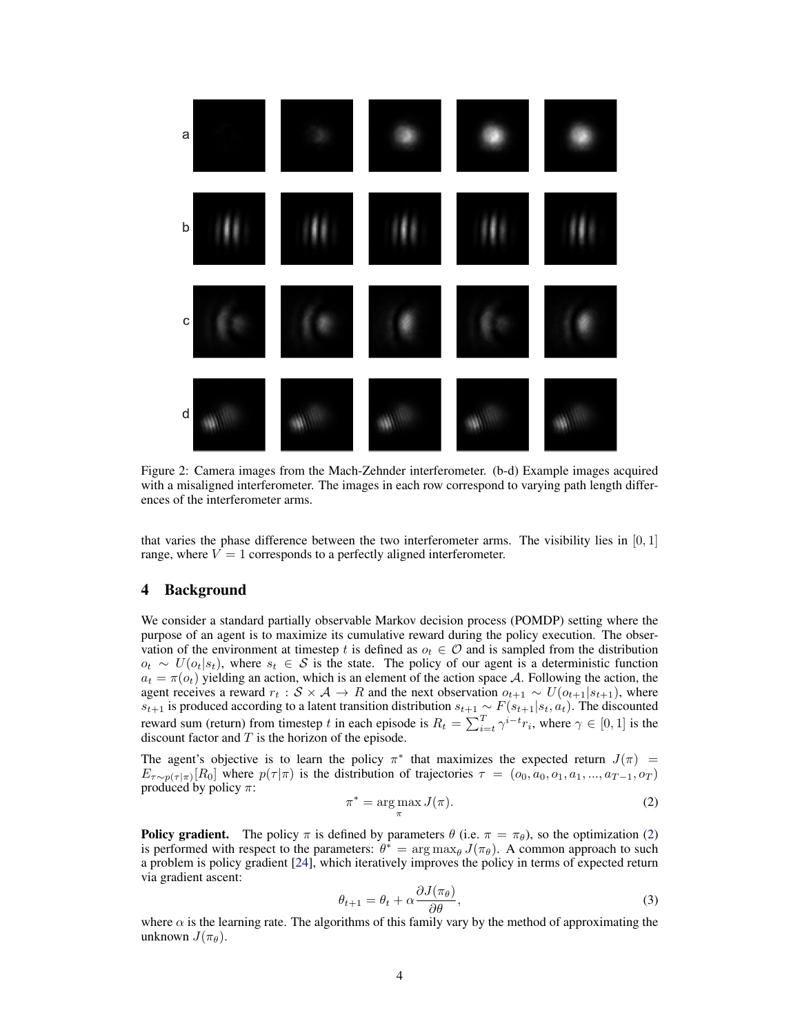<span id="page-3-0"></span>

Figure 2: Camera images from the Mach-Zehnder interferometer. (b-d) Example images acquired with a misaligned interferometer. The images in each row correspond to varying path length differences of the interferometer arms.

that varies the phase difference between the two interferometer arms. The visibility lies in  $[0, 1]$ range, where  $V = 1$  corresponds to a perfectly aligned interferometer.

# 4 Background

We consider a standard partially observable Markov decision process (POMDP) setting where the purpose of an agent is to maximize its cumulative reward during the policy execution. The observation of the environment at timestep t is defined as  $o_t \in \mathcal{O}$  and is sampled from the distribution  $o_t \sim U(o_t|s_t)$ , where  $s_t \in S$  is the state. The policy of our agent is a deterministic function  $a_t = \pi(o_t)$  yielding an action, which is an element of the action space A. Following the action, the agent receives a reward  $r_t : S \times A \to R$  and the next observation  $o_{t+1} \sim U(o_{t+1}|s_{t+1})$ , where  $s_{t+1}$  is produced according to a latent transition distribution  $s_{t+1} \sim F(s_{t+1}|s_t, a_t)$ . The discounted reward sum (return) from timestep t in each episode is  $R_t = \sum_{i=t}^{T} \gamma^{i-t} r_i$ , where  $\gamma \in [0,1]$  is the discount factor and  $T$  is the horizon of the episode.

The agent's objective is to learn the policy  $\pi^*$  that maximizes the expected return  $J(\pi)$  =  $E_{\tau \sim p(\tau|\pi)}[R_0]$  where  $p(\tau|\pi)$  is the distribution of trajectories  $\tau = (o_0, a_0, o_1, a_1, ..., a_{T-1}, o_T)$ produced by policy  $\pi$ :

$$
\pi^* = \underset{\pi}{\arg\max} J(\pi). \tag{2}
$$

**Policy gradient.** The policy  $\pi$  is defined by parameters  $\theta$  (i.e.  $\pi = \pi_{\theta}$ ), so the optimization (2) is performed with respect to the parameters:  $\theta^* = \arg \max_{\theta} J(\pi_{\theta})$ . A common approach to such a problem is policy gradient [\[24\]](#page-9-0), which iteratively improves the policy in terms of expected return via gradient ascent:

$$
\theta_{t+1} = \theta_t + \alpha \frac{\partial J(\pi_{\theta})}{\partial \theta},\tag{3}
$$

where  $\alpha$  is the learning rate. The algorithms of this family vary by the method of approximating the unknown  $J(\pi_{\theta})$ .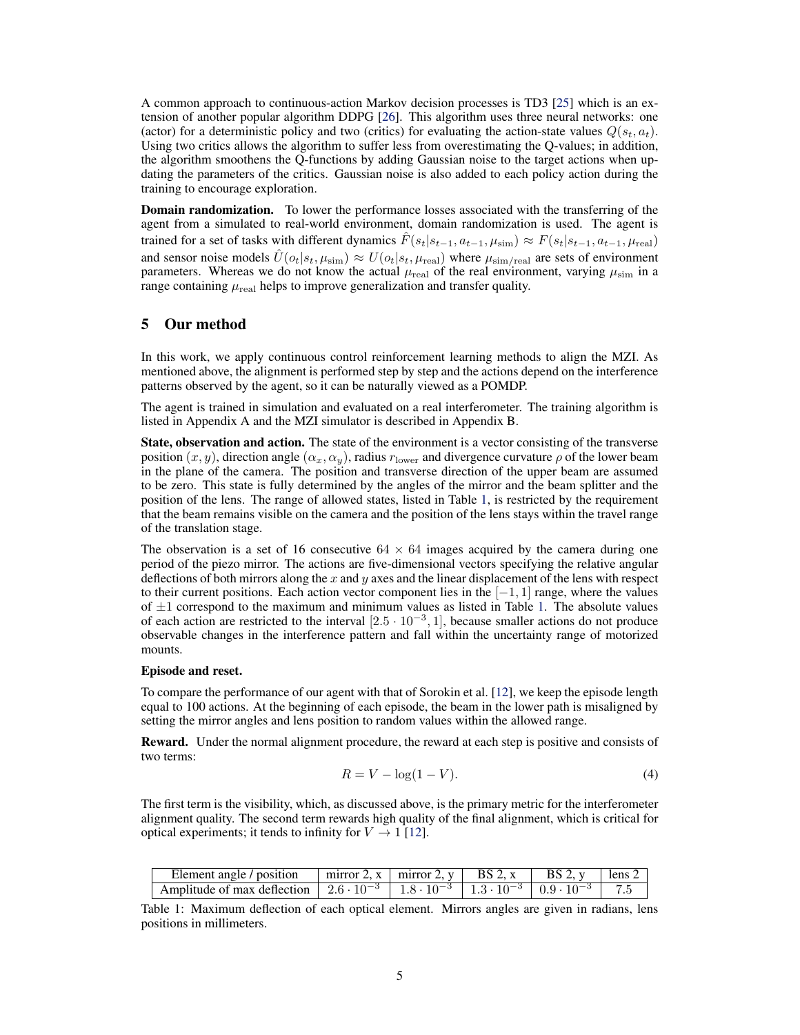<span id="page-4-0"></span>A common approach to continuous-action Markov decision processes is TD3 [\[25\]](#page-9-0) which is an extension of another popular algorithm DDPG [\[26\]](#page-9-0). This algorithm uses three neural networks: one (actor) for a deterministic policy and two (critics) for evaluating the action-state values  $Q(s_t, a_t)$ . Using two critics allows the algorithm to suffer less from overestimating the Q-values; in addition, the algorithm smoothens the Q-functions by adding Gaussian noise to the target actions when updating the parameters of the critics. Gaussian noise is also added to each policy action during the training to encourage exploration.

Domain randomization. To lower the performance losses associated with the transferring of the agent from a simulated to real-world environment, domain randomization is used. The agent is trained for a set of tasks with different dynamics  $F(s_t|s_{t-1}, a_{t-1}, \mu_{\text{sim}}) \approx F(s_t|s_{t-1}, a_{t-1}, \mu_{\text{real}})$ and sensor noise models  $\hat{U}(o_t|s_t, \mu_{\text{sim}}) \approx U(o_t|s_t, \mu_{\text{real}})$  where  $\mu_{\text{sim/real}}$  are sets of environment parameters. Whereas we do not know the actual  $\mu_{\text{real}}$  of the real environment, varying  $\mu_{\text{sim}}$  in a range containing  $\mu_{\rm real}$  helps to improve generalization and transfer quality.

## 5 Our method

In this work, we apply continuous control reinforcement learning methods to align the MZI. As mentioned above, the alignment is performed step by step and the actions depend on the interference patterns observed by the agent, so it can be naturally viewed as a POMDP.

The agent is trained in simulation and evaluated on a real interferometer. The training algorithm is listed in Appendix A and the MZI simulator is described in Appendix B.

State, observation and action. The state of the environment is a vector consisting of the transverse position  $(x, y)$ , direction angle  $(\alpha_x, \alpha_y)$ , radius  $r_{\text{lower}}$  and divergence curvature  $\rho$  of the lower beam in the plane of the camera. The position and transverse direction of the upper beam are assumed to be zero. This state is fully determined by the angles of the mirror and the beam splitter and the position of the lens. The range of allowed states, listed in Table 1, is restricted by the requirement that the beam remains visible on the camera and the position of the lens stays within the travel range of the translation stage.

The observation is a set of 16 consecutive  $64 \times 64$  images acquired by the camera during one period of the piezo mirror. The actions are five-dimensional vectors specifying the relative angular deflections of both mirrors along the  $x$  and  $y$  axes and the linear displacement of the lens with respect to their current positions. Each action vector component lies in the  $[-1, 1]$  range, where the values of  $\pm 1$  correspond to the maximum and minimum values as listed in Table 1. The absolute values of each action are restricted to the interval  $[2.5 \cdot 10^{-3}, 1]$ , because smaller actions do not produce observable changes in the interference pattern and fall within the uncertainty range of motorized mounts.

#### Episode and reset.

To compare the performance of our agent with that of Sorokin et al. [\[12\]](#page-8-0), we keep the episode length equal to 100 actions. At the beginning of each episode, the beam in the lower path is misaligned by setting the mirror angles and lens position to random values within the allowed range.

Reward. Under the normal alignment procedure, the reward at each step is positive and consists of two terms:

$$
R = V - \log(1 - V). \tag{4}
$$

The first term is the visibility, which, as discussed above, is the primary metric for the interferometer alignment quality. The second term rewards high quality of the final alignment, which is critical for optical experiments; it tends to infinity for  $V \rightarrow 1$  [\[12\]](#page-8-0).

| Element angle / position | $\left  \right $ mirror 2, x $\left  \right $ mirror 2, y $\left  \right $ BS 2, x $\left  \right $ BS 2, y $\left  \right $ lens 2 |  |  |
|--------------------------|-------------------------------------------------------------------------------------------------------------------------------------|--|--|
|                          |                                                                                                                                     |  |  |

Table 1: Maximum deflection of each optical element. Mirrors angles are given in radians, lens positions in millimeters.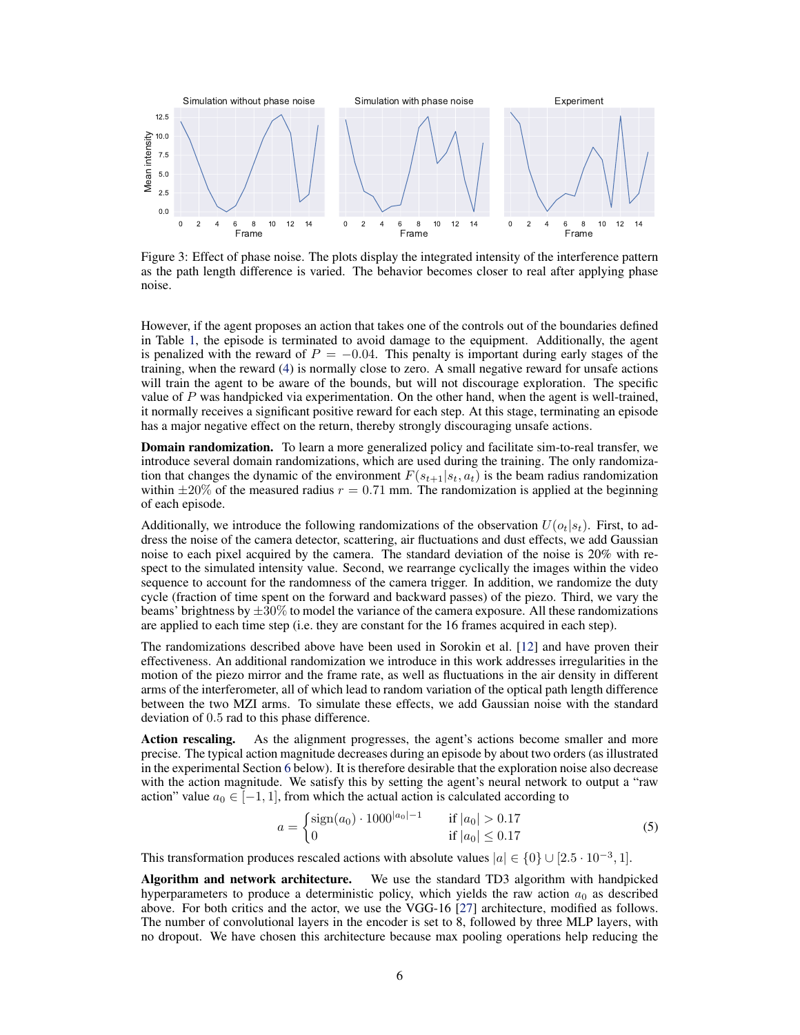<span id="page-5-0"></span>

Figure 3: Effect of phase noise. The plots display the integrated intensity of the interference pattern as the path length difference is varied. The behavior becomes closer to real after applying phase noise.

However, if the agent proposes an action that takes one of the controls out of the boundaries defined in Table [1,](#page-4-0) the episode is terminated to avoid damage to the equipment. Additionally, the agent is penalized with the reward of  $P = -0.04$ . This penalty is important during early stages of the training, when the reward [\(4\)](#page-4-0) is normally close to zero. A small negative reward for unsafe actions will train the agent to be aware of the bounds, but will not discourage exploration. The specific value of  $P$  was handpicked via experimentation. On the other hand, when the agent is well-trained, it normally receives a significant positive reward for each step. At this stage, terminating an episode has a major negative effect on the return, thereby strongly discouraging unsafe actions.

Domain randomization. To learn a more generalized policy and facilitate sim-to-real transfer, we introduce several domain randomizations, which are used during the training. The only randomization that changes the dynamic of the environment  $F(s_{t+1}|s_t, a_t)$  is the beam radius randomization within  $\pm 20\%$  of the measured radius  $r = 0.71$  mm. The randomization is applied at the beginning of each episode.

Additionally, we introduce the following randomizations of the observation  $U(o_t|s_t)$ . First, to address the noise of the camera detector, scattering, air fluctuations and dust effects, we add Gaussian noise to each pixel acquired by the camera. The standard deviation of the noise is 20% with respect to the simulated intensity value. Second, we rearrange cyclically the images within the video sequence to account for the randomness of the camera trigger. In addition, we randomize the duty cycle (fraction of time spent on the forward and backward passes) of the piezo. Third, we vary the beams' brightness by  $\pm 30\%$  to model the variance of the camera exposure. All these randomizations are applied to each time step (i.e. they are constant for the 16 frames acquired in each step).

The randomizations described above have been used in Sorokin et al. [\[12\]](#page-8-0) and have proven their effectiveness. An additional randomization we introduce in this work addresses irregularities in the motion of the piezo mirror and the frame rate, as well as fluctuations in the air density in different arms of the interferometer, all of which lead to random variation of the optical path length difference between the two MZI arms. To simulate these effects, we add Gaussian noise with the standard deviation of 0.5 rad to this phase difference.

Action rescaling. As the alignment progresses, the agent's actions become smaller and more precise. The typical action magnitude decreases during an episode by about two orders (as illustrated in the experimental Section [6](#page-6-0) below). It is therefore desirable that the exploration noise also decrease with the action magnitude. We satisfy this by setting the agent's neural network to output a "raw action" value  $a_0 \in [-1, 1]$ , from which the actual action is calculated according to

$$
a = \begin{cases} \text{sign}(a_0) \cdot 1000^{|a_0| - 1} & \text{if } |a_0| > 0.17\\ 0 & \text{if } |a_0| \le 0.17 \end{cases}
$$
 (5)

This transformation produces rescaled actions with absolute values  $|a| \in \{0\} \cup [2.5 \cdot 10^{-3}, 1]$ .

Algorithm and network architecture. We use the standard TD3 algorithm with handpicked hyperparameters to produce a deterministic policy, which yields the raw action  $a_0$  as described above. For both critics and the actor, we use the VGG-16 [\[27\]](#page-9-0) architecture, modified as follows. The number of convolutional layers in the encoder is set to 8, followed by three MLP layers, with no dropout. We have chosen this architecture because max pooling operations help reducing the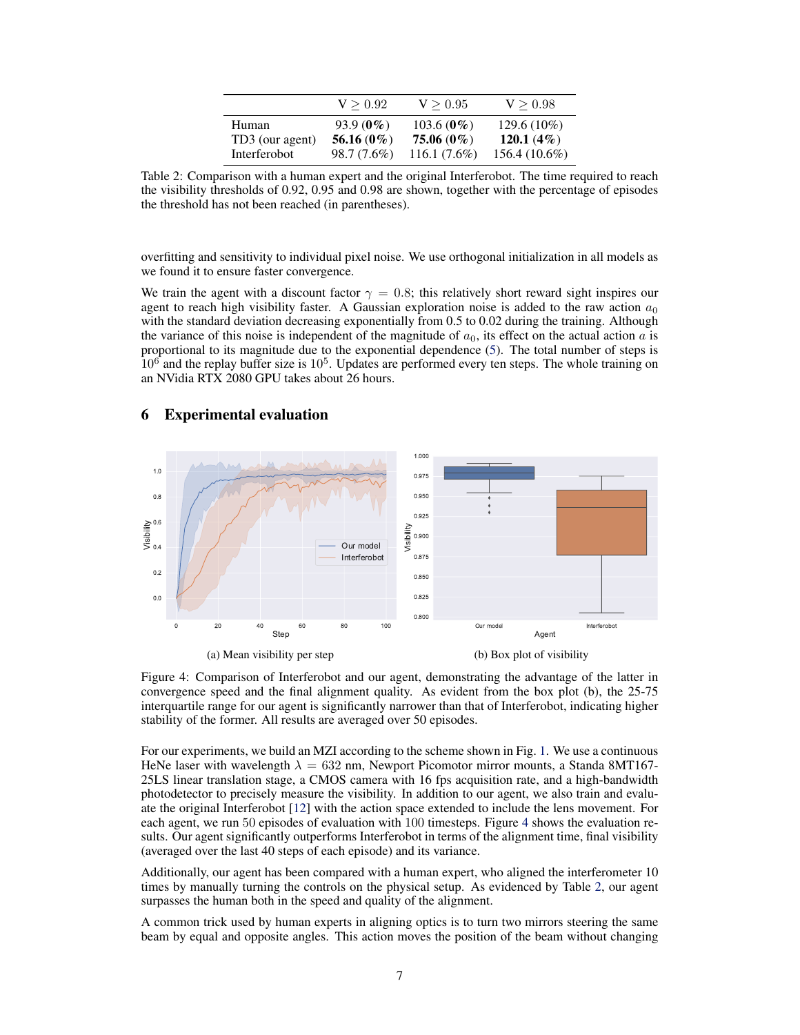|                 | V > 0.92      | V > 0.95        | V > 0.98        |
|-----------------|---------------|-----------------|-----------------|
| Human           | $93.9(0\%)$   | 103.6 ( $0\%$ ) | $129.6(10\%)$   |
| TD3 (our agent) | 56.16 $(0\%)$ | 75.06 (0%)      | 120.1 $(4\%)$   |
| Interferobot    | 98.7 (7.6%)   | $116.1(7.6\%)$  | $156.4(10.6\%)$ |

<span id="page-6-0"></span>Table 2: Comparison with a human expert and the original Interferobot. The time required to reach the visibility thresholds of 0.92, 0.95 and 0.98 are shown, together with the percentage of episodes the threshold has not been reached (in parentheses).

overfitting and sensitivity to individual pixel noise. We use orthogonal initialization in all models as we found it to ensure faster convergence.

We train the agent with a discount factor  $\gamma = 0.8$ ; this relatively short reward sight inspires our agent to reach high visibility faster. A Gaussian exploration noise is added to the raw action  $a_0$ with the standard deviation decreasing exponentially from 0.5 to 0.02 during the training. Although the variance of this noise is independent of the magnitude of  $a_0$ , its effect on the actual action a is proportional to its magnitude due to the exponential dependence [\(5\)](#page-5-0). The total number of steps is  $10<sup>6</sup>$  and the replay buffer size is  $10<sup>5</sup>$ . Updates are performed every ten steps. The whole training on an NVidia RTX 2080 GPU takes about 26 hours.

## 6 Experimental evaluation



Figure 4: Comparison of Interferobot and our agent, demonstrating the advantage of the latter in convergence speed and the final alignment quality. As evident from the box plot (b), the 25-75 interquartile range for our agent is significantly narrower than that of Interferobot, indicating higher stability of the former. All results are averaged over 50 episodes.

For our experiments, we build an MZI according to the scheme shown in Fig. [1.](#page-2-0) We use a continuous HeNe laser with wavelength  $\lambda = 632$  nm, Newport Picomotor mirror mounts, a Standa 8MT167-25LS linear translation stage, a CMOS camera with 16 fps acquisition rate, and a high-bandwidth photodetector to precisely measure the visibility. In addition to our agent, we also train and evaluate the original Interferobot [\[12\]](#page-8-0) with the action space extended to include the lens movement. For each agent, we run 50 episodes of evaluation with 100 timesteps. Figure 4 shows the evaluation results. Our agent significantly outperforms Interferobot in terms of the alignment time, final visibility (averaged over the last 40 steps of each episode) and its variance.

Additionally, our agent has been compared with a human expert, who aligned the interferometer 10 times by manually turning the controls on the physical setup. As evidenced by Table 2, our agent surpasses the human both in the speed and quality of the alignment.

A common trick used by human experts in aligning optics is to turn two mirrors steering the same beam by equal and opposite angles. This action moves the position of the beam without changing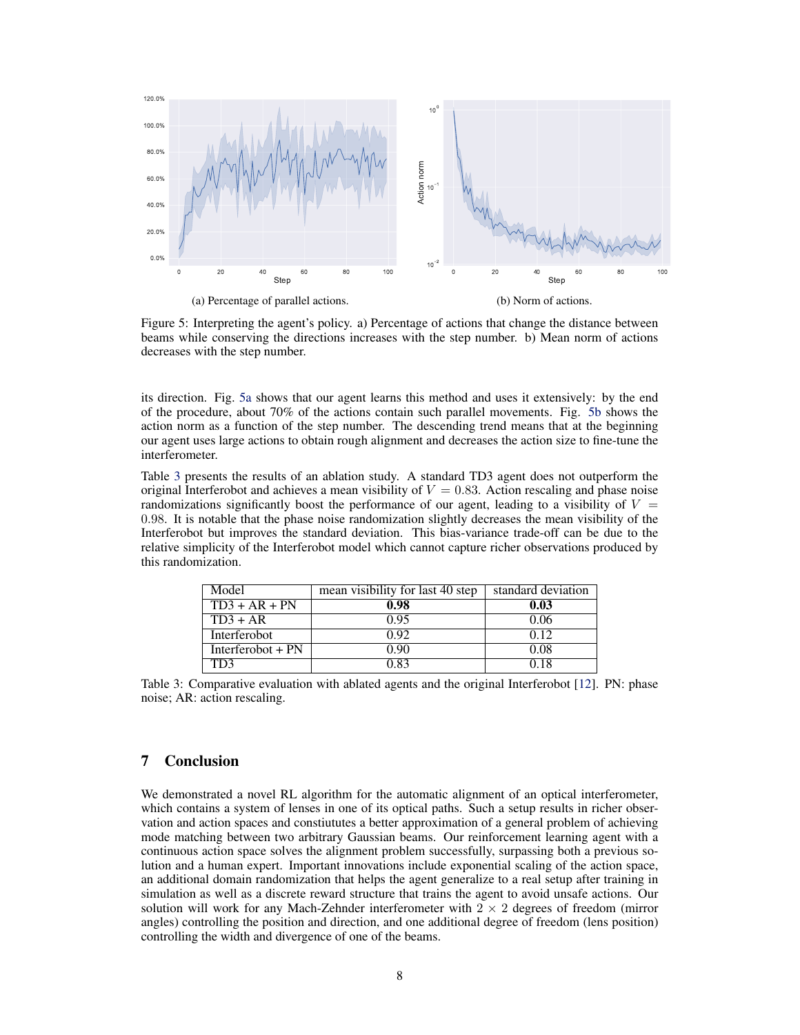

Figure 5: Interpreting the agent's policy. a) Percentage of actions that change the distance between beams while conserving the directions increases with the step number. b) Mean norm of actions decreases with the step number.

its direction. Fig. 5a shows that our agent learns this method and uses it extensively: by the end of the procedure, about 70% of the actions contain such parallel movements. Fig. 5b shows the action norm as a function of the step number. The descending trend means that at the beginning our agent uses large actions to obtain rough alignment and decreases the action size to fine-tune the interferometer.

Table 3 presents the results of an ablation study. A standard TD3 agent does not outperform the original Interferobot and achieves a mean visibility of  $V = 0.83$ . Action rescaling and phase noise randomizations significantly boost the performance of our agent, leading to a visibility of  $V =$ 0.98. It is notable that the phase noise randomization slightly decreases the mean visibility of the Interferobot but improves the standard deviation. This bias-variance trade-off can be due to the relative simplicity of the Interferobot model which cannot capture richer observations produced by this randomization.

| Model               | mean visibility for last 40 step | standard deviation |  |
|---------------------|----------------------------------|--------------------|--|
| $TD3 + AR + PN$     | 0.98                             | 0.03               |  |
| $TD3 + AR$          | 0.95                             | 0.06               |  |
| Interferobot        | 0.92                             | 012                |  |
| Interferobot $+ PN$ | 0.90                             | 0.08               |  |
| TD3                 | 0.83                             | 0.18               |  |

Table 3: Comparative evaluation with ablated agents and the original Interferobot [\[12\]](#page-8-0). PN: phase noise; AR: action rescaling.

# 7 Conclusion

We demonstrated a novel RL algorithm for the automatic alignment of an optical interferometer, which contains a system of lenses in one of its optical paths. Such a setup results in richer observation and action spaces and constiututes a better approximation of a general problem of achieving mode matching between two arbitrary Gaussian beams. Our reinforcement learning agent with a continuous action space solves the alignment problem successfully, surpassing both a previous solution and a human expert. Important innovations include exponential scaling of the action space, an additional domain randomization that helps the agent generalize to a real setup after training in simulation as well as a discrete reward structure that trains the agent to avoid unsafe actions. Our solution will work for any Mach-Zehnder interferometer with  $2 \times 2$  degrees of freedom (mirror angles) controlling the position and direction, and one additional degree of freedom (lens position) controlling the width and divergence of one of the beams.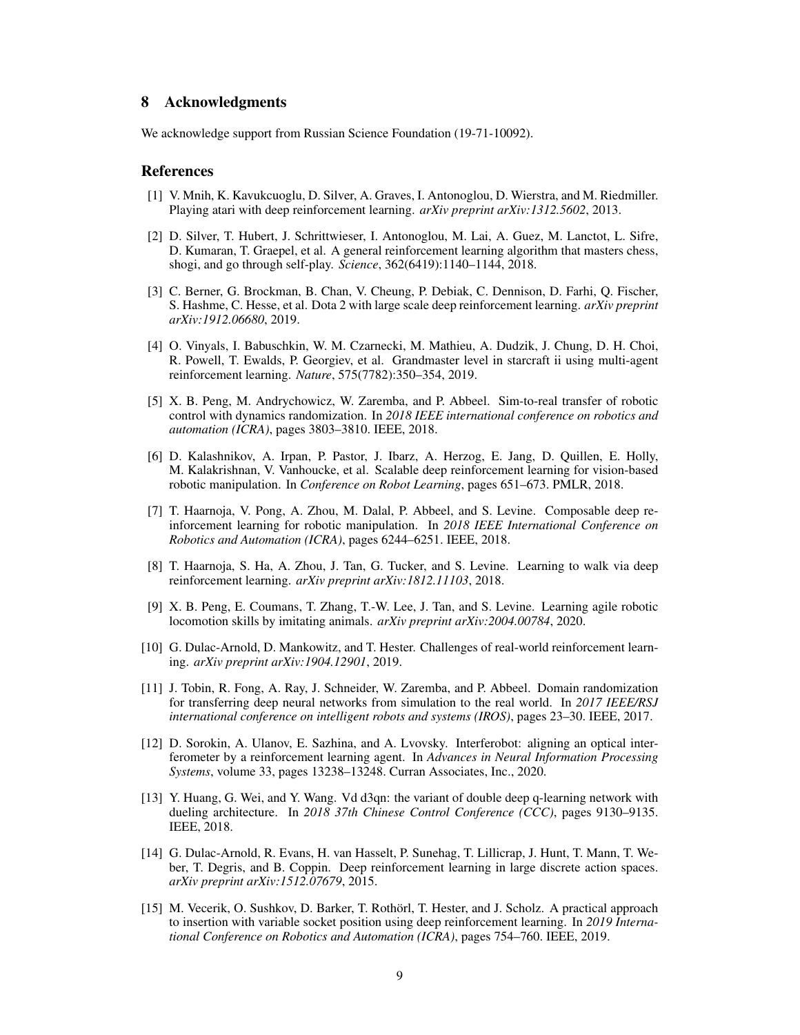## <span id="page-8-0"></span>8 Acknowledgments

We acknowledge support from Russian Science Foundation (19-71-10092).

### References

- [1] V. Mnih, K. Kavukcuoglu, D. Silver, A. Graves, I. Antonoglou, D. Wierstra, and M. Riedmiller. Playing atari with deep reinforcement learning. *arXiv preprint arXiv:1312.5602*, 2013.
- [2] D. Silver, T. Hubert, J. Schrittwieser, I. Antonoglou, M. Lai, A. Guez, M. Lanctot, L. Sifre, D. Kumaran, T. Graepel, et al. A general reinforcement learning algorithm that masters chess, shogi, and go through self-play. *Science*, 362(6419):1140–1144, 2018.
- [3] C. Berner, G. Brockman, B. Chan, V. Cheung, P. Debiak, C. Dennison, D. Farhi, Q. Fischer, S. Hashme, C. Hesse, et al. Dota 2 with large scale deep reinforcement learning. *arXiv preprint arXiv:1912.06680*, 2019.
- [4] O. Vinyals, I. Babuschkin, W. M. Czarnecki, M. Mathieu, A. Dudzik, J. Chung, D. H. Choi, R. Powell, T. Ewalds, P. Georgiev, et al. Grandmaster level in starcraft ii using multi-agent reinforcement learning. *Nature*, 575(7782):350–354, 2019.
- [5] X. B. Peng, M. Andrychowicz, W. Zaremba, and P. Abbeel. Sim-to-real transfer of robotic control with dynamics randomization. In *2018 IEEE international conference on robotics and automation (ICRA)*, pages 3803–3810. IEEE, 2018.
- [6] D. Kalashnikov, A. Irpan, P. Pastor, J. Ibarz, A. Herzog, E. Jang, D. Quillen, E. Holly, M. Kalakrishnan, V. Vanhoucke, et al. Scalable deep reinforcement learning for vision-based robotic manipulation. In *Conference on Robot Learning*, pages 651–673. PMLR, 2018.
- [7] T. Haarnoja, V. Pong, A. Zhou, M. Dalal, P. Abbeel, and S. Levine. Composable deep reinforcement learning for robotic manipulation. In *2018 IEEE International Conference on Robotics and Automation (ICRA)*, pages 6244–6251. IEEE, 2018.
- [8] T. Haarnoja, S. Ha, A. Zhou, J. Tan, G. Tucker, and S. Levine. Learning to walk via deep reinforcement learning. *arXiv preprint arXiv:1812.11103*, 2018.
- [9] X. B. Peng, E. Coumans, T. Zhang, T.-W. Lee, J. Tan, and S. Levine. Learning agile robotic locomotion skills by imitating animals. *arXiv preprint arXiv:2004.00784*, 2020.
- [10] G. Dulac-Arnold, D. Mankowitz, and T. Hester. Challenges of real-world reinforcement learning. *arXiv preprint arXiv:1904.12901*, 2019.
- [11] J. Tobin, R. Fong, A. Ray, J. Schneider, W. Zaremba, and P. Abbeel. Domain randomization for transferring deep neural networks from simulation to the real world. In *2017 IEEE/RSJ international conference on intelligent robots and systems (IROS)*, pages 23–30. IEEE, 2017.
- [12] D. Sorokin, A. Ulanov, E. Sazhina, and A. Lvovsky. Interferobot: aligning an optical interferometer by a reinforcement learning agent. In *Advances in Neural Information Processing Systems*, volume 33, pages 13238–13248. Curran Associates, Inc., 2020.
- [13] Y. Huang, G. Wei, and Y. Wang. Vd d3qn: the variant of double deep q-learning network with dueling architecture. In *2018 37th Chinese Control Conference (CCC)*, pages 9130–9135. IEEE, 2018.
- [14] G. Dulac-Arnold, R. Evans, H. van Hasselt, P. Sunehag, T. Lillicrap, J. Hunt, T. Mann, T. Weber, T. Degris, and B. Coppin. Deep reinforcement learning in large discrete action spaces. *arXiv preprint arXiv:1512.07679*, 2015.
- [15] M. Vecerik, O. Sushkov, D. Barker, T. Rothörl, T. Hester, and J. Scholz. A practical approach to insertion with variable socket position using deep reinforcement learning. In *2019 International Conference on Robotics and Automation (ICRA)*, pages 754–760. IEEE, 2019.